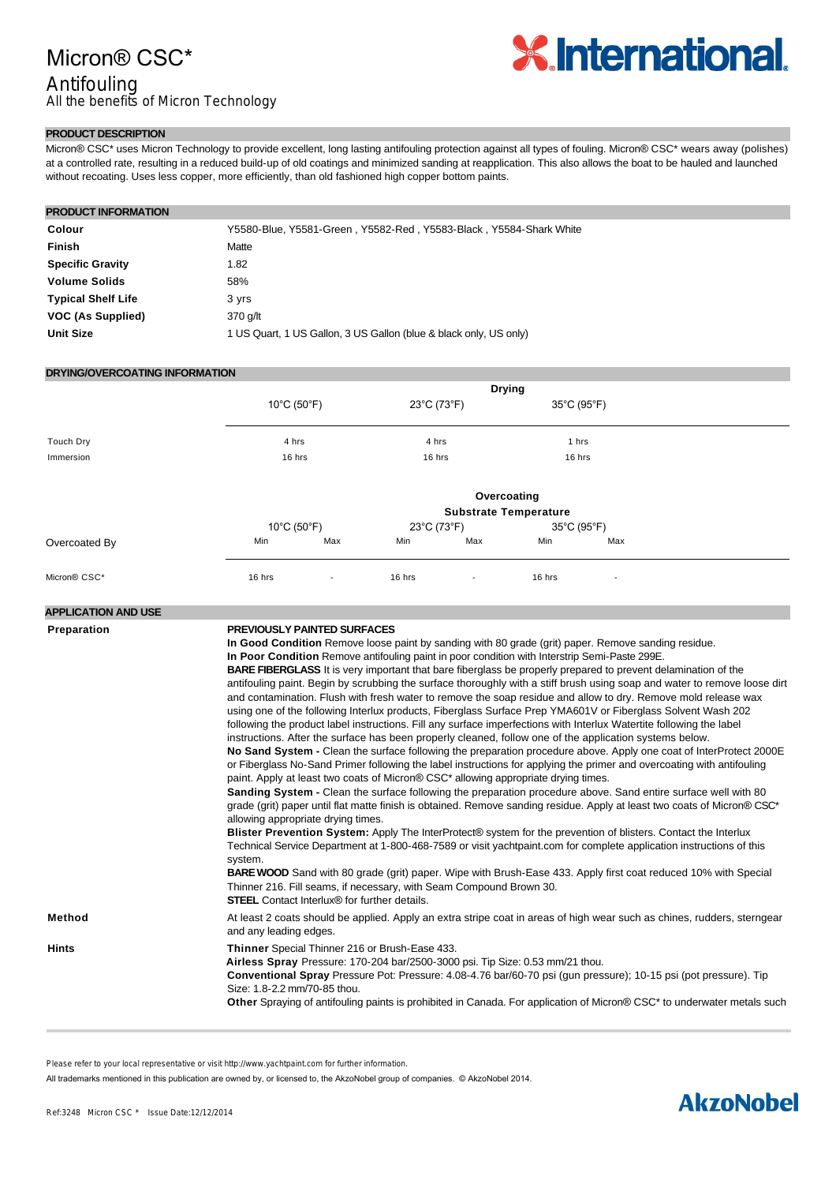## Micron® CSC\*

## Antifouling

All the benefits of Micron Technology



### **PRODUCT DESCRIPTION**

Micron® CSC\* uses Micron Technology to provide excellent, long lasting antifouling protection against all types of fouling. Micron® CSC\* wears away (polishes) at a controlled rate, resulting in a reduced build-up of old coatings and minimized sanding at reapplication. This also allows the boat to be hauled and launched without recoating. Uses less copper, more efficiently, than old fashioned high copper bottom paints.

| <b>PRODUCT INFORMATION</b> |                                                                    |  |  |
|----------------------------|--------------------------------------------------------------------|--|--|
|                            |                                                                    |  |  |
| Colour                     | Y5580-Blue, Y5581-Green, Y5582-Red, Y5583-Black, Y5584-Shark White |  |  |
| Finish                     | Matte                                                              |  |  |
| <b>Specific Gravity</b>    | 1.82                                                               |  |  |
| <b>Volume Solids</b>       | 58%                                                                |  |  |
| <b>Typical Shelf Life</b>  | 3 yrs                                                              |  |  |
| VOC (As Supplied)          | 370 g/lt                                                           |  |  |
| <b>Unit Size</b>           | 1 US Quart, 1 US Gallon, 3 US Gallon (blue & black only, US only)  |  |  |

#### **DRYING/OVERCOATING INFORMATION**

|               |             | <b>Drying</b>                    |             |                          |             |                          |  |  |
|---------------|-------------|----------------------------------|-------------|--------------------------|-------------|--------------------------|--|--|
|               | 10°C (50°F) |                                  | 23°C (73°F) |                          | 35°C (95°F) |                          |  |  |
| Touch Dry     | 4 hrs       |                                  | 4 hrs       |                          | 1 hrs       |                          |  |  |
| Immersion     | 16 hrs      |                                  | 16 hrs      |                          | 16 hrs      |                          |  |  |
|               |             |                                  |             |                          | Overcoating |                          |  |  |
|               |             | <b>Substrate Temperature</b>     |             |                          |             |                          |  |  |
|               |             | $10^{\circ}$ C (50 $^{\circ}$ F) |             | 23°C (73°F)              |             | 35°C (95°F)              |  |  |
| Overcoated By | Min         | Max                              | Min         | Max                      | Min         | Max                      |  |  |
| Micron® CSC*  | 16 hrs      | $\overline{\phantom{a}}$         | 16 hrs      | $\overline{\phantom{a}}$ | 16 hrs      | $\overline{\phantom{a}}$ |  |  |

#### **APPLICATION AND USE**

| <b>Preparation</b> | <b>PREVIOUSLY PAINTED SURFACES</b><br>In Good Condition Remove loose paint by sanding with 80 grade (grit) paper. Remove sanding residue.<br>In Poor Condition Remove antifouling paint in poor condition with Interstrip Semi-Paste 299E.<br><b>BARE FIBERGLASS</b> It is very important that bare fiberglass be properly prepared to prevent delamination of the<br>antifouling paint. Begin by scrubbing the surface thoroughly with a stiff brush using soap and water to remove loose dirt<br>and contamination. Flush with fresh water to remove the soap residue and allow to dry. Remove mold release wax<br>using one of the following Interlux products, Fiberglass Surface Prep YMA601V or Fiberglass Solvent Wash 202<br>following the product label instructions. Fill any surface imperfections with Interlux Watertite following the label<br>instructions. After the surface has been properly cleaned, follow one of the application systems below.<br>No Sand System - Clean the surface following the preparation procedure above. Apply one coat of InterProtect 2000E<br>or Fiberglass No-Sand Primer following the label instructions for applying the primer and overcoating with antifouling<br>paint. Apply at least two coats of Micron® CSC <sup>*</sup> allowing appropriate drying times.<br>Sanding System - Clean the surface following the preparation procedure above. Sand entire surface well with 80<br>grade (grit) paper until flat matte finish is obtained. Remove sanding residue. Apply at least two coats of Micron® CSC*<br>allowing appropriate drying times.<br>Blister Prevention System: Apply The InterProtect® system for the prevention of blisters. Contact the Interlux<br>Technical Service Department at 1-800-468-7589 or visit yachtpaint.com for complete application instructions of this |
|--------------------|------------------------------------------------------------------------------------------------------------------------------------------------------------------------------------------------------------------------------------------------------------------------------------------------------------------------------------------------------------------------------------------------------------------------------------------------------------------------------------------------------------------------------------------------------------------------------------------------------------------------------------------------------------------------------------------------------------------------------------------------------------------------------------------------------------------------------------------------------------------------------------------------------------------------------------------------------------------------------------------------------------------------------------------------------------------------------------------------------------------------------------------------------------------------------------------------------------------------------------------------------------------------------------------------------------------------------------------------------------------------------------------------------------------------------------------------------------------------------------------------------------------------------------------------------------------------------------------------------------------------------------------------------------------------------------------------------------------------------------------------------------------------------------------------------------------------------------------------------|
|                    | system.<br>BARE WOOD Sand with 80 grade (grit) paper. Wipe with Brush-Ease 433. Apply first coat reduced 10% with Special<br>Thinner 216. Fill seams, if necessary, with Seam Compound Brown 30.<br><b>STEEL</b> Contact Interlux <sup>®</sup> for further details.                                                                                                                                                                                                                                                                                                                                                                                                                                                                                                                                                                                                                                                                                                                                                                                                                                                                                                                                                                                                                                                                                                                                                                                                                                                                                                                                                                                                                                                                                                                                                                                  |
| <b>Method</b>      | At least 2 coats should be applied. Apply an extra stripe coat in areas of high wear such as chines, rudders, sterngear<br>and any leading edges.                                                                                                                                                                                                                                                                                                                                                                                                                                                                                                                                                                                                                                                                                                                                                                                                                                                                                                                                                                                                                                                                                                                                                                                                                                                                                                                                                                                                                                                                                                                                                                                                                                                                                                    |
| <b>Hints</b>       | Thinner Special Thinner 216 or Brush-Ease 433.<br>Airless Spray Pressure: 170-204 bar/2500-3000 psi. Tip Size: 0.53 mm/21 thou.<br>Conventional Spray Pressure Pot: Pressure: 4.08-4.76 bar/60-70 psi (gun pressure); 10-15 psi (pot pressure). Tip<br>Size: 1.8-2.2 mm/70-85 thou.<br><b>Other</b> Spraying of antifouling paints is prohibited in Canada. For application of Micron® CSC <sup>*</sup> to underwater metals such                                                                                                                                                                                                                                                                                                                                                                                                                                                                                                                                                                                                                                                                                                                                                                                                                                                                                                                                                                                                                                                                                                                                                                                                                                                                                                                                                                                                                    |
|                    |                                                                                                                                                                                                                                                                                                                                                                                                                                                                                                                                                                                                                                                                                                                                                                                                                                                                                                                                                                                                                                                                                                                                                                                                                                                                                                                                                                                                                                                                                                                                                                                                                                                                                                                                                                                                                                                      |

Please refer to your local representative or visit http://www.yachtpaint.com for further information.

All trademarks mentioned in this publication are owned by, or licensed to, the AkzoNobel group of companies. © AkzoNobel 2014.